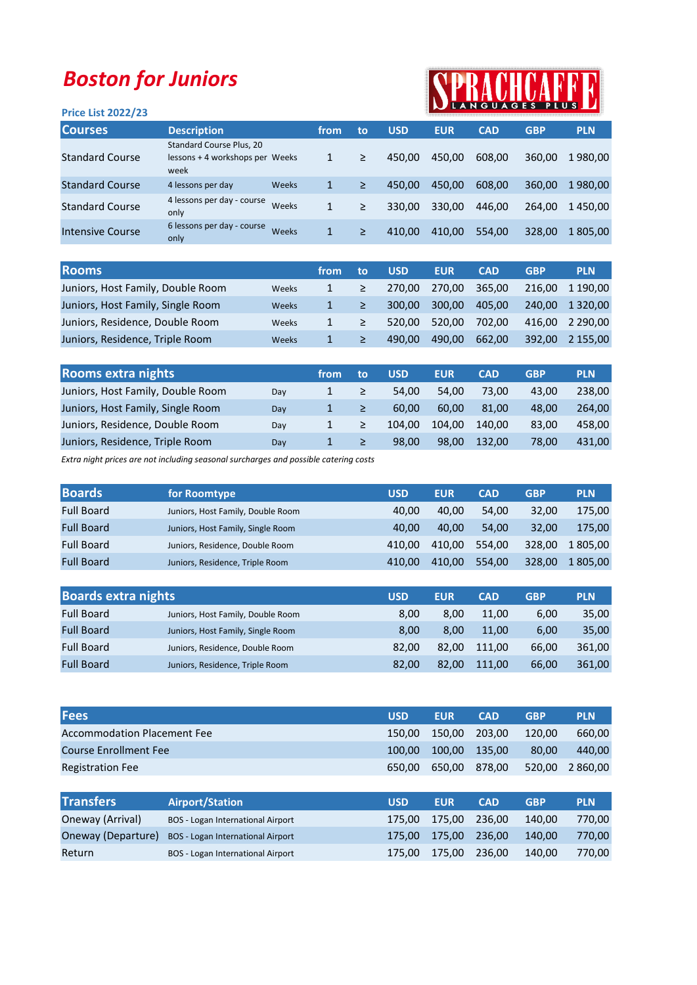## Boston for Juniors

## SPRACHCA AFF

| <b>Price List 2022/23</b> |                                                                     |       |      |    |            |            | IN LANGUAGES PLUS |            |            |
|---------------------------|---------------------------------------------------------------------|-------|------|----|------------|------------|-------------------|------------|------------|
| <b>Courses</b>            | <b>Description</b>                                                  |       | from | to | <b>USD</b> | <b>EUR</b> | <b>CAD</b>        | <b>GBP</b> | <b>PLN</b> |
| <b>Standard Course</b>    | Standard Course Plus, 20<br>lessons + 4 workshops per Weeks<br>week |       |      | ≥  | 450.00     | 450.00     | 608.00            | 360,00     | 1980.00    |
| <b>Standard Course</b>    | 4 lessons per day                                                   | Weeks |      | ≥  | 450.00     | 450.00     | 608.00            | 360.00     | 1980.00    |
| <b>Standard Course</b>    | 4 lessons per day - course<br>only                                  | Weeks | 1    | ≥  | 330.00     | 330.00     | 446.00            | 264.00     | 1450.00    |
| Intensive Course          | 6 lessons per day - course<br>only                                  | Weeks | 1    | ≥  | 410.00     | 410.00     | 554,00            | 328,00     | 805,00     |

| <b>Rooms</b>                      |              | from | to | <b>USD</b> | <b>EUR</b> | <b>CAD</b> | <b>GBP</b> | <b>PLN</b>    |
|-----------------------------------|--------------|------|----|------------|------------|------------|------------|---------------|
| Juniors, Host Family, Double Room | Weeks        |      |    | 270.00     | 270.00     | 365.00     | 216.00     | 1 190.00      |
| Juniors, Host Family, Single Room | <b>Weeks</b> |      |    | 300.00     | 300.00     | 405.00     | 240.00     | 1 3 2 0 . 0 0 |
| Juniors, Residence, Double Room   | Weeks        |      |    | 520.00     | 520.00     | 702.00     | 416.00     | 2 2 9 0 . 0 0 |
| Juniors, Residence, Triple Room   | <b>Weeks</b> |      |    | 490.00     | 490.00     | 662.00     | 392.00     | 2 155.00      |

| <b>Rooms extra nights</b>         |     | from | to | <b>USD</b> | <b>EUR</b> | <b>CAD</b> | <b>GBP</b> | <b>PLN</b> |
|-----------------------------------|-----|------|----|------------|------------|------------|------------|------------|
| Juniors, Host Family, Double Room | Day |      |    | 54.00      | 54.00      | 73.00      | 43.00      | 238.00     |
| Juniors, Host Family, Single Room | Day |      |    | 60.00      | 60.00      | 81.00      | 48.00      | 264,00     |
| Juniors, Residence, Double Room   | Day |      |    | 104.00     | 104.00     | 140.00     | 83,00      | 458.00     |
| Juniors, Residence, Triple Room   | Day |      |    | 98.00      | 98.00      | 132.00     | 78.00      | 431,00     |

Extra night prices are not including seasonal surcharges and possible catering costs

| <b>Boards</b>     | for Roomtype                      | USD    | <b>EUR</b> | <b>CAD</b> | <b>GBP</b> | <b>PLN</b> |
|-------------------|-----------------------------------|--------|------------|------------|------------|------------|
| <b>Full Board</b> | Juniors, Host Family, Double Room | 40.00  | 40.00      | 54.00      | 32,00      | 175,00     |
| <b>Full Board</b> | Juniors, Host Family, Single Room | 40.00  | 40.00      | 54.00      | 32.00      | 175.00     |
| <b>Full Board</b> | Juniors, Residence, Double Room   | 410.00 | 410.00     | 554.00     | 328.00     | 1805.00    |
| <b>Full Board</b> | Juniors, Residence, Triple Room   | 410.00 | 410.00     | 554.00     | 328.00     | 1 805,00   |

| <b>Boards extra nights</b> |                                   | USD   | <b>EUR</b> | <b>CAD</b> | <b>GBP</b> | <b>PLN</b> |
|----------------------------|-----------------------------------|-------|------------|------------|------------|------------|
| <b>Full Board</b>          | Juniors, Host Family, Double Room | 8.00  | 8.00       | 11.00      | 6,00       | 35,00      |
| <b>Full Board</b>          | Juniors, Host Family, Single Room | 8.00  | 8.00       | 11.00      | 6.00       | 35,00      |
| <b>Full Board</b>          | Juniors, Residence, Double Room   | 82.00 | 82.00      | 111.00     | 66,00      | 361.00     |
| <b>Full Board</b>          | Juniors, Residence, Triple Room   | 82.00 | 82.00      | 111.00     | 66,00      | 361,00     |

| <b>Fees</b>                  |                                   | <b>USD</b> | <b>EUR</b> | <b>CAD</b> | <b>GBP</b> | <b>PLN</b> |
|------------------------------|-----------------------------------|------------|------------|------------|------------|------------|
| Accommodation Placement Fee  |                                   | 150.00     | 150.00     | 203.00     | 120.00     | 660.00     |
| <b>Course Enrollment Fee</b> |                                   | 100.00     | 100.00     | 135.00     | 80,00      | 440,00     |
| <b>Registration Fee</b>      |                                   | 650.00     | 650.00     | 878.00     | 520.00     | 2 860,00   |
|                              |                                   |            |            |            |            |            |
| <b>Transfers</b>             | <b>Airport/Station</b>            | <b>USD</b> | <b>EUR</b> | <b>CAD</b> | <b>GBP</b> | <b>PLN</b> |
| Oneway (Arrival)             | BOS - Logan International Airport | 175.00     | 175.00     | 236.00     | 140.00     | 770.00     |

| Панысты          | All port <i>J</i> Station                                   | USD. | EUN -                  | <b>LAD</b> | - GDP  | <b>PLN</b> |
|------------------|-------------------------------------------------------------|------|------------------------|------------|--------|------------|
| Oneway (Arrival) | <b>BOS</b> - Logan International Airport                    |      | 175.00  175.00  236.00 |            | 140.00 | 770.00     |
|                  | <b>Oneway (Departure)</b> BOS - Logan International Airport |      | 175.00  175.00  236.00 |            | 140.00 | 770.00     |
| Return           | <b>BOS</b> - Logan International Airport                    |      | 175.00  175.00  236.00 |            | 140.00 | 770.00     |